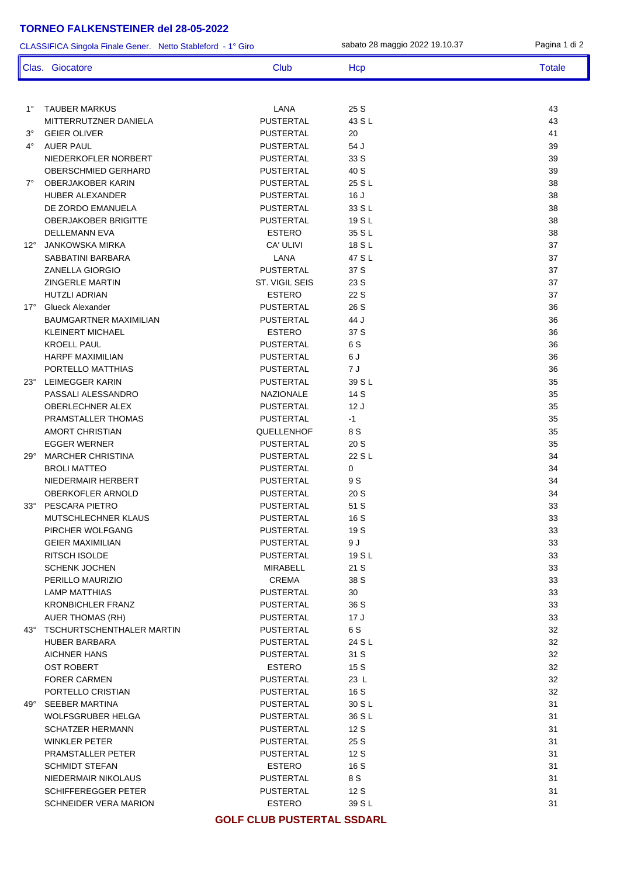## **TORNEO FALKENSTEINER del 28-05-2022**

CLASSIFICA Singola Finale Gener. Netto Stableford - 1° Giro sabato 28 maggio 2022 19.10.37 **Clas. Giocatore Club Club Hcp Totale** 

| $1^{\circ}$ | TAUBER MARKUS                 | LANA                              | 25 S   | 43 |
|-------------|-------------------------------|-----------------------------------|--------|----|
|             | MITTERRUTZNER DANIELA         | <b>PUSTERTAL</b>                  | 43 S L | 43 |
| $3^{\circ}$ | <b>GEIER OLIVER</b>           | <b>PUSTERTAL</b>                  | 20     | 41 |
| $4^{\circ}$ | AUER PAUL                     | <b>PUSTERTAL</b>                  | 54 J   | 39 |
|             | NIEDERKOFLER NORBERT          | <b>PUSTERTAL</b>                  | 33 S   | 39 |
|             | <b>OBERSCHMIED GERHARD</b>    | <b>PUSTERTAL</b>                  | 40 S   | 39 |
|             | 7° OBERJAKOBER KARIN          | <b>PUSTERTAL</b>                  | 25 S L | 38 |
|             | <b>HUBER ALEXANDER</b>        | <b>PUSTERTAL</b>                  | 16J    | 38 |
|             | DE ZORDO EMANUELA             | <b>PUSTERTAL</b>                  | 33 S L | 38 |
|             | <b>OBERJAKOBER BRIGITTE</b>   | <b>PUSTERTAL</b>                  | 19 S L | 38 |
|             | <b>DELLEMANN EVA</b>          | <b>ESTERO</b>                     | 35 S L | 38 |
|             | 12° JANKOWSKA MIRKA           | CA' ULIVI                         | 18 S L | 37 |
|             | SABBATINI BARBARA             | LANA                              | 47 S L | 37 |
|             | <b>ZANELLA GIORGIO</b>        | <b>PUSTERTAL</b>                  | 37 S   | 37 |
|             | <b>ZINGERLE MARTIN</b>        | ST. VIGIL SEIS                    | 23 S   | 37 |
|             | <b>HUTZLI ADRIAN</b>          | <b>ESTERO</b>                     | 22 S   | 37 |
|             | 17° Glueck Alexander          | <b>PUSTERTAL</b>                  | 26 S   | 36 |
|             | <b>BAUMGARTNER MAXIMILIAN</b> | <b>PUSTERTAL</b>                  | 44 J   | 36 |
|             | <b>KLEINERT MICHAEL</b>       | <b>ESTERO</b>                     | 37 S   | 36 |
|             | <b>KROELL PAUL</b>            | PUSTERTAL                         | 6 S    | 36 |
|             | <b>HARPF MAXIMILIAN</b>       | <b>PUSTERTAL</b>                  | 6 J    | 36 |
|             | PORTELLO MATTHIAS             | <b>PUSTERTAL</b>                  | 7 J    | 36 |
|             | 23° LEIMEGGER KARIN           | <b>PUSTERTAL</b>                  | 39 S L | 35 |
|             | PASSALI ALESSANDRO            | <b>NAZIONALE</b>                  | 14 S   | 35 |
|             | OBERLECHNER ALEX              | <b>PUSTERTAL</b>                  | 12J    | 35 |
|             | PRAMSTALLER THOMAS            | <b>PUSTERTAL</b>                  | $-1$   | 35 |
|             | <b>AMORT CHRISTIAN</b>        | QUELLENHOF                        | 8 S    | 35 |
|             | <b>EGGER WERNER</b>           | <b>PUSTERTAL</b>                  | 20S    | 35 |
|             | 29° MARCHER CHRISTINA         | <b>PUSTERTAL</b>                  | 22 S L | 34 |
|             | <b>BROLI MATTEO</b>           | <b>PUSTERTAL</b>                  | 0      | 34 |
|             | NIEDERMAIR HERBERT            | PUSTERTAL                         | 9 S    | 34 |
|             | <b>OBERKOFLER ARNOLD</b>      | <b>PUSTERTAL</b>                  | 20S    | 34 |
|             | 33° PESCARA PIETRO            | PUSTERTAL                         | 51 S   | 33 |
|             | MUTSCHLECHNER KLAUS           | PUSTERTAL                         | 16 S   | 33 |
|             | PIRCHER WOLFGANG              | <b>PUSTERTAL</b>                  | 19 S   | 33 |
|             | <b>GEIER MAXIMILIAN</b>       | <b>PUSTERTAL</b>                  | 9 J    | 33 |
|             | <b>RITSCH ISOLDE</b>          | <b>PUSTERTAL</b>                  | 19 S L | 33 |
|             | <b>SCHENK JOCHEN</b>          | MIRABELL                          | 21 S   | 33 |
|             | PERILLO MAURIZIO              | <b>CREMA</b>                      | 38 S   | 33 |
|             | <b>LAMP MATTHIAS</b>          | <b>PUSTERTAL</b>                  | 30     | 33 |
|             | <b>KRONBICHLER FRANZ</b>      | <b>PUSTERTAL</b>                  | 36 S   | 33 |
|             | <b>AUER THOMAS (RH)</b>       | <b>PUSTERTAL</b>                  | 17 J   | 33 |
|             | 43° TSCHURTSCHENTHALER MARTIN | <b>PUSTERTAL</b>                  | 6 S    | 32 |
|             | <b>HUBER BARBARA</b>          | <b>PUSTERTAL</b>                  | 24 S L | 32 |
|             | <b>AICHNER HANS</b>           | <b>PUSTERTAL</b>                  | 31 S   | 32 |
|             | <b>OST ROBERT</b>             | <b>ESTERO</b>                     | 15S    | 32 |
|             | <b>FORER CARMEN</b>           | <b>PUSTERTAL</b>                  | 23 L   | 32 |
|             | PORTELLO CRISTIAN             | <b>PUSTERTAL</b>                  | 16 S   | 32 |
|             | 49° SEEBER MARTINA            | <b>PUSTERTAL</b>                  | 30 S L | 31 |
|             | <b>WOLFSGRUBER HELGA</b>      | <b>PUSTERTAL</b>                  | 36 S L | 31 |
|             | <b>SCHATZER HERMANN</b>       | <b>PUSTERTAL</b>                  | 12S    | 31 |
|             | <b>WINKLER PETER</b>          | <b>PUSTERTAL</b>                  | 25 S   | 31 |
|             | PRAMSTALLER PETER             | <b>PUSTERTAL</b>                  | 12S    | 31 |
|             | <b>SCHMIDT STEFAN</b>         | <b>ESTERO</b>                     | 16 S   | 31 |
|             | NIEDERMAIR NIKOLAUS           | <b>PUSTERTAL</b>                  | 8 S    | 31 |
|             | <b>SCHIFFEREGGER PETER</b>    | <b>PUSTERTAL</b>                  | 12 S   | 31 |
|             | <b>SCHNEIDER VERA MARION</b>  | <b>ESTERO</b>                     | 39 S L | 31 |
|             |                               | <b>GOLF CLUB PUSTERTAL SSDARL</b> |        |    |
|             |                               |                                   |        |    |